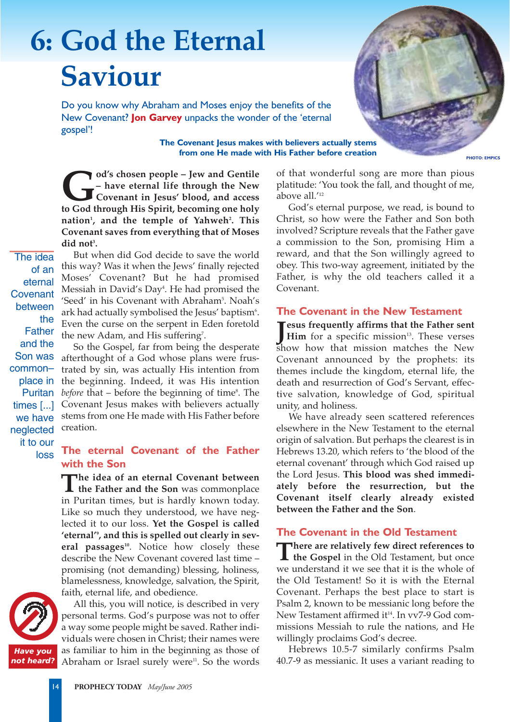# **6: God the Eternal Saviour**

Do you know why Abraham and Moses enjoy the benefits of the New Covenant? **Jon Garvey** unpacks the wonder of the 'eternal gospel'!

> **The Covenant Jesus makes with believers actually stems from one He made with His Father before creation**

od's chosen people – Jew and Gentile<br>
– have eternal life through the New<br>
Covenant in Jesus' blood, and access<br>
to God through His Spirit, becoming one holy **– have eternal life through the New Covenant in Jesus' blood, and access to God through His Spirit, becoming one holy nation1 , and the temple of Yahweh2 . This Covenant saves from everything that of Moses** did not<sup>3</sup>.

The idea of an eternal **Covenant** between the Father and the Son was common– place in Puritan times [...] we have neglected it to our loss

But when did God decide to save the world this way? Was it when the Jews' finally rejected Moses' Covenant? But he had promised Messiah in David's Day<del>'</del>. He had promised the 'Seed' in his Covenant with Abraham<sup>5</sup>. Noah's ark had actually symbolised the Jesus' baptism'. Even the curse on the serpent in Eden foretold the new Adam, and His suffering<sup>7</sup>.

So the Gospel, far from being the desperate afterthought of a God whose plans were frustrated by sin, was actually His intention from the beginning. Indeed, it was His intention *before* that – before the beginning of time<sup>s</sup>. The Covenant Jesus makes with believers actually stems from one He made with His Father before creation.

## **The eternal Covenant of the Father with the Son**

**The idea of an eternal Covenant between the Father and the Son** was commonplace in Puritan times, but is hardly known today. Like so much they understood, we have neglected it to our loss. **Yet the Gospel is called 'eternal'9 , and this is spelled out clearly in sev**eral passages<sup>10</sup>. Notice how closely these describe the New Covenant covered last time – promising (not demanding) blessing, holiness, blamelessness, knowledge, salvation, the Spirit, faith, eternal life, and obedience.



All this, you will notice, is described in very personal terms. God's purpose was not to offer a way some people might be saved. Rather individuals were chosen in Christ; their names were as familiar to him in the beginning as those of Abraham or Israel surely were<sup>11</sup>. So the words

of that wonderful song are more than pious platitude: 'You took the fall, and thought of me, above all.'12

God's eternal purpose, we read, is bound to Christ, so how were the Father and Son both involved? Scripture reveals that the Father gave a commission to the Son, promising Him a reward, and that the Son willingly agreed to obey. This two-way agreement, initiated by the Father, is why the old teachers called it a Covenant.

#### **The Covenant in the New Testament**

**J** esus frequently affirms that the Father sent<br>
Him for a specific mission<sup>13</sup>. These verses **Him** for a specific mission<sup>13</sup>. These verses show how that mission matches the New Covenant announced by the prophets: its themes include the kingdom, eternal life, the death and resurrection of God's Servant, effective salvation, knowledge of God, spiritual unity, and holiness.

We have already seen scattered references elsewhere in the New Testament to the eternal origin of salvation. But perhaps the clearest is in Hebrews 13.20, which refers to 'the blood of the eternal covenant' through which God raised up the Lord Jesus. **This blood was shed immediately before the resurrection, but the Covenant itself clearly already existed between the Father and the Son**.

### **The Covenant in the Old Testament**

There are relatively few direct references to<br>the Gospel in the Old Testament, but once we understand it we see that it is the whole of the Old Testament! So it is with the Eternal Covenant. Perhaps the best place to start is Psalm 2, known to be messianic long before the New Testament affirmed  $i t^{14}$ . In vv7-9 God commissions Messiah to rule the nations, and He willingly proclaims God's decree.

Hebrews 10.5-7 similarly confirms Psalm 40.7-9 as messianic. It uses a variant reading to